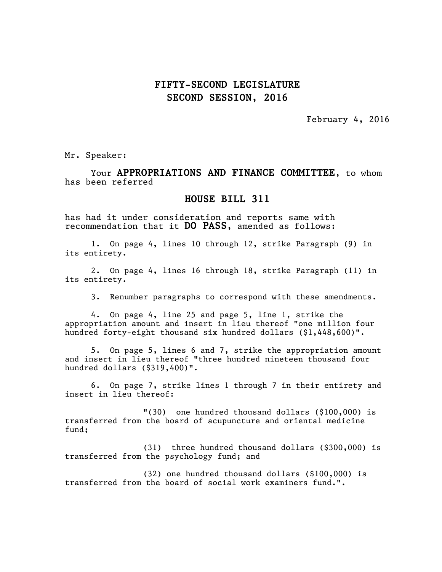## **FIFTY-SECOND LEGISLATURE SECOND SESSION, 2016**

February 4, 2016

Mr. Speaker:

Your **APPROPRIATIONS AND FINANCE COMMITTEE,** to whom has been referred

## **HOUSE BILL 311**

has had it under consideration and reports same with recommendation that it **DO PASS**, amended as follows:

1. On page 4, lines 10 through 12, strike Paragraph (9) in its entirety.

2. On page 4, lines 16 through 18, strike Paragraph (11) in its entirety.

3. Renumber paragraphs to correspond with these amendments.

4. On page 4, line 25 and page 5, line 1, strike the appropriation amount and insert in lieu thereof "one million four hundred forty-eight thousand six hundred dollars (\$1,448,600)".

5. On page 5, lines 6 and 7, strike the appropriation amount and insert in lieu thereof "three hundred nineteen thousand four hundred dollars (\$319,400)".

6. On page 7, strike lines 1 through 7 in their entirety and insert in lieu thereof:

"(30) one hundred thousand dollars (\$100,000) is transferred from the board of acupuncture and oriental medicine fund;

(31) three hundred thousand dollars (\$300,000) is transferred from the psychology fund; and

(32) one hundred thousand dollars (\$100,000) is transferred from the board of social work examiners fund.".